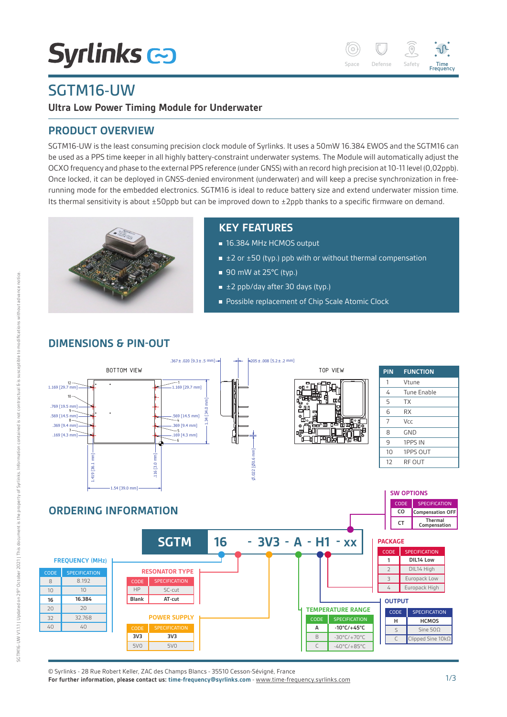# **Syrlinks &**

Space Defense Safety **Time**<br>**Frequency** 

# SGTM16-UW

### **Ultra Low Power Timing Module for Underwater**

# **PRODUCT OVERVIEW**

SGTM16-UW is the least consuming precision clock module of Syrlinks. It uses a 50mW 16.384 EWOS and the SGTM16 can be used as a PPS time keeper in all highly battery-constraint underwater systems. The Module will automatically adjust the OCXO frequency and phase to the external PPS reference (under GNSS) with an record high precision at 10-11 level (0,02ppb). Once locked, it can be deployed in GNSS-denied environment (underwater) and will keep a precise synchronization in freerunning mode for the embedded electronics. SGTM16 is ideal to reduce battery size and extend underwater mission time. Its thermal sensitivity is about ±50ppb but can be improved down to ±2ppb thanks to a specific firmware on demand.



## **KEY FEATURES**

- 16.384 MHz HCMOS output
- $\pm$  2 or  $\pm$ 50 (typ.) ppb with or without thermal compensation
- 90 mW at 25°C (typ.)
- $\equiv \pm 2$  ppb/day after 30 days (typ.)
- **Possible replacement of Chip Scale Atomic Clock**

# **DIMENSIONS & PIN-OUT**



© Syrlinks - 28 Rue Robert Keller, ZAC des Champs Blancs - 35510 Cesson-Sévigné, France

**For further information, please contact us: time-frequency@syrlinks.com** - www.time-frequency.syrlinks.com

1/3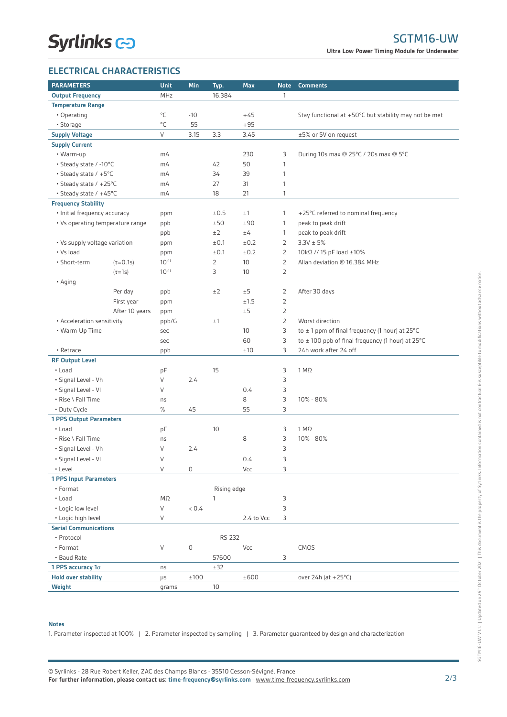#### **Ultra Low Power Timing Module for Underwater**

#### **ELECTRICAL CHARACTERISTICS**

| <b>PARAMETERS</b>                |                 | Unit         | Min      | Typ.           | <b>Max</b> | <b>Note</b>    | <b>Comments</b>                                               |
|----------------------------------|-----------------|--------------|----------|----------------|------------|----------------|---------------------------------------------------------------|
| <b>Output Frequency</b>          |                 | MHz          |          | 16.384         |            | $\mathbf{1}$   |                                                               |
| <b>Temperature Range</b>         |                 |              |          |                |            |                |                                                               |
| • Operating                      |                 | $^{\circ}$ C | $-10$    |                | $+45$      |                | Stay functional at +50°C but stability may not be met         |
| · Storage                        |                 | $^{\circ}$ C | $-55$    |                | $+95$      |                |                                                               |
| <b>Supply Voltage</b>            |                 | V            | 3.15     | 3.3            | 3.45       |                | ±5% or 5V on request                                          |
| <b>Supply Current</b>            |                 |              |          |                |            |                |                                                               |
| • Warm-up                        |                 | mA           |          |                | 230        | 3              | During 10s max @ 25°C / 20s max @ 5°C                         |
| • Steady state / -10°C           |                 | mA           |          | 42             | 50         | $\mathbf{1}$   |                                                               |
| • Steady state / +5°C            |                 | mA           |          | 34             | 39         | $\mathbf{1}$   |                                                               |
| • Steady state / +25°C           |                 | mA           |          | 27             | 31         | $\mathbf{1}$   |                                                               |
| • Steady state / +45°C           |                 | mA           |          | 18             | 21         | $\mathbf{1}$   |                                                               |
| <b>Frequency Stability</b>       |                 |              |          |                |            |                |                                                               |
| • Initial frequency accuracy     |                 | ppm          |          | ±0.5           | ±1         | $\mathbf{1}$   | +25°C referred to nominal frequency                           |
| • Vs operating temperature range |                 | ppb          |          | ±50            | ±90        | $\mathbf{1}$   | peak to peak drift                                            |
|                                  |                 | ppb          |          | ±2             | ±4         | $\mathbf{1}$   | peak to peak drift                                            |
| • Vs supply voltage variation    |                 | ppm          |          | $\pm 0.1$      | ±0.2       | $\overline{2}$ | $3.3V \pm 5%$                                                 |
| • Vs load                        |                 | ppm          |          | $\pm 0.1$      | ±0.2       | $\overline{2}$ | $10k\Omega$ // 15 pF load $\pm 10\%$                          |
| • Short-term                     | $(\tau = 0.1s)$ | $10^{-11}$   |          | $\overline{2}$ | 10         | $\overline{2}$ | Allan deviation @ 16.384 MHz                                  |
|                                  | $(\tau=1s)$     | $10^{-11}$   |          | 3              | 10         | $\overline{2}$ |                                                               |
| • Aging                          |                 |              |          |                |            |                |                                                               |
|                                  | Per day         | ppb          |          | ±2             | ±5         | 2              | After 30 days                                                 |
|                                  | First year      | ppm          |          |                | ±1.5       | $\overline{2}$ |                                                               |
|                                  | After 10 years  | ppm          |          |                | ±5         | $\overline{2}$ |                                                               |
| • Acceleration sensitivity       |                 | ppb/G        |          | ±1             |            | $\overline{2}$ | Worst direction                                               |
| • Warm-Up Time                   |                 | sec          |          |                | 10         | 3              | to $\pm$ 1 ppm of final frequency (1 hour) at 25 $^{\circ}$ C |
|                                  |                 | sec          |          |                | 60         | 3              | to $\pm$ 100 ppb of final frequency (1 hour) at 25°C          |
| • Retrace                        |                 | ppb          |          |                | ±10        | 3              | 24h work after 24 off                                         |
| <b>RF Output Level</b>           |                 |              |          |                |            |                |                                                               |
| • Load                           |                 | pF           |          | 15             |            | 3              | $1 M\Omega$                                                   |
| • Signal Level - Vh              |                 | V            | 2.4      |                |            | 3              |                                                               |
| • Signal Level - VI              |                 | V            |          |                | 0.4        | 3              |                                                               |
| • Rise \ Fall Time               |                 | ns           |          |                | 8          | 3              | 10% - 80%                                                     |
| • Duty Cycle                     |                 | %            | 45       |                | 55         | 3              |                                                               |
| <b>1 PPS Output Parameters</b>   |                 |              |          |                |            |                |                                                               |
| • Load                           |                 | pF           |          | 10             |            | 3              | $1 M\Omega$                                                   |
| • Rise \ Fall Time               |                 | ns           |          |                | 8          | 3              | 10% - 80%                                                     |
| · Signal Level - Vh              |                 | V            | 2.4      |                |            | 3              |                                                               |
| • Signal Level - VI              |                 | V            |          |                | 0.4        | 3              |                                                               |
| • Level                          |                 | V            | 0        |                | Vcc        | 3              |                                                               |
| <b>1 PPS Input Parameters</b>    |                 |              |          |                |            |                |                                                               |
| • Format                         |                 |              |          | Rising edge    |            |                |                                                               |
| • Load                           |                 | ΜΩ           |          | 1              |            | 3              |                                                               |
| • Logic low level                |                 | V            | $<0.4\,$ |                |            | 3              |                                                               |
| • Logic high level               |                 | V            |          |                | 2.4 to Vcc | 3              |                                                               |
| <b>Serial Communications</b>     |                 |              |          |                |            |                |                                                               |
| • Protocol                       |                 |              |          | RS-232         |            |                |                                                               |
| • Format                         |                 | V            | 0        |                | Vcc        |                | CMOS                                                          |
| • Baud Rate                      |                 |              |          | 57600          |            | 3              |                                                               |
| 1 PPS accuracy 10                |                 | ns           |          | ±32            |            |                |                                                               |
| <b>Hold over stability</b>       |                 | μs           | ±100     |                | ±600       |                | over 24h (at +25°C)                                           |
| Weight                           |                 | grams        |          | 10             |            |                |                                                               |

#### **Notes**

1. Parameter inspected at 100% | 2. Parameter inspected by sampling | 3. Parameter guaranteed by design and characterization